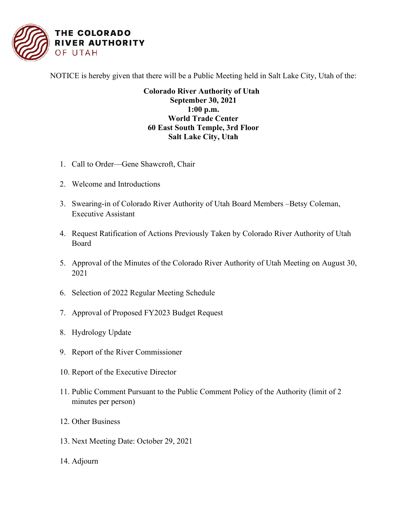

NOTICE is hereby given that there will be a Public Meeting held in Salt Lake City, Utah of the:

## **Colorado River Authority of Utah September 30, 2021 1:00 p.m. World Trade Center 60 East South Temple, 3rd Floor Salt Lake City, Utah**

- 1. Call to Order—Gene Shawcroft, Chair
- 2. Welcome and Introductions
- 3. Swearing-in of Colorado River Authority of Utah Board Members –Betsy Coleman, Executive Assistant
- 4. Request Ratification of Actions Previously Taken by Colorado River Authority of Utah Board
- 5. Approval of the Minutes of the Colorado River Authority of Utah Meeting on August 30, 2021
- 6. Selection of 2022 Regular Meeting Schedule
- 7. Approval of Proposed FY2023 Budget Request
- 8. Hydrology Update
- 9. Report of the River Commissioner
- 10. Report of the Executive Director
- 11. Public Comment Pursuant to the Public Comment Policy of the Authority (limit of 2 minutes per person)
- 12. Other Business
- 13. Next Meeting Date: October 29, 2021
- 14. Adjourn